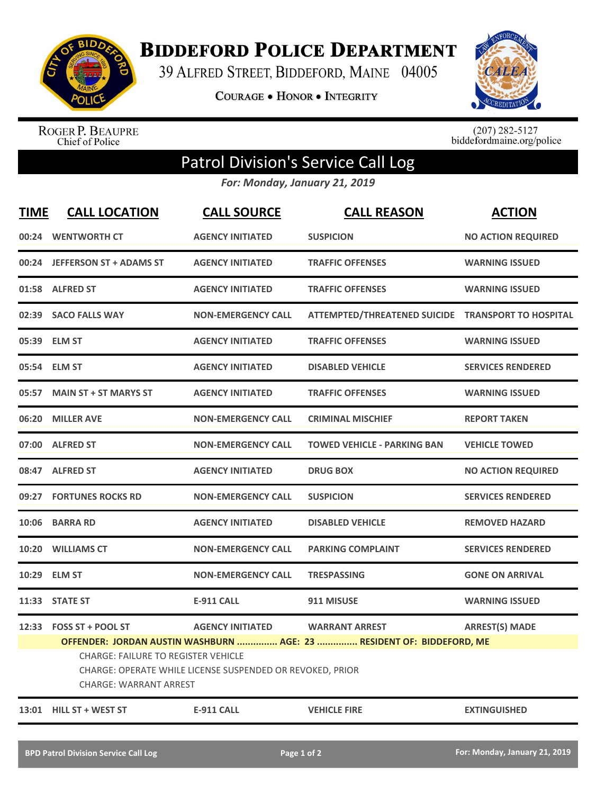

**BIDDEFORD POLICE DEPARTMENT** 

39 ALFRED STREET, BIDDEFORD, MAINE 04005

**COURAGE . HONOR . INTEGRITY** 



ROGER P. BEAUPRE<br>Chief of Police

 $(207)$  282-5127<br>biddefordmaine.org/police

## Patrol Division's Service Call Log

*For: Monday, January 21, 2019*

| <b>TIME</b> | <b>CALL LOCATION</b>                                                                                                                                                                                                                                                                                                      | <b>CALL SOURCE</b>        | <b>CALL REASON</b>                                 | <b>ACTION</b>             |  |
|-------------|---------------------------------------------------------------------------------------------------------------------------------------------------------------------------------------------------------------------------------------------------------------------------------------------------------------------------|---------------------------|----------------------------------------------------|---------------------------|--|
|             | 00:24 WENTWORTH CT                                                                                                                                                                                                                                                                                                        | <b>AGENCY INITIATED</b>   | <b>SUSPICION</b>                                   | <b>NO ACTION REQUIRED</b> |  |
|             | 00:24 JEFFERSON ST + ADAMS ST                                                                                                                                                                                                                                                                                             | <b>AGENCY INITIATED</b>   | <b>TRAFFIC OFFENSES</b>                            | <b>WARNING ISSUED</b>     |  |
|             | 01:58 ALFRED ST                                                                                                                                                                                                                                                                                                           | <b>AGENCY INITIATED</b>   | <b>TRAFFIC OFFENSES</b>                            | <b>WARNING ISSUED</b>     |  |
|             | 02:39 SACO FALLS WAY                                                                                                                                                                                                                                                                                                      | <b>NON-EMERGENCY CALL</b> | ATTEMPTED/THREATENED SUICIDE TRANSPORT TO HOSPITAL |                           |  |
|             | 05:39 ELM ST                                                                                                                                                                                                                                                                                                              | <b>AGENCY INITIATED</b>   | <b>TRAFFIC OFFENSES</b>                            | <b>WARNING ISSUED</b>     |  |
|             | 05:54 ELM ST                                                                                                                                                                                                                                                                                                              | <b>AGENCY INITIATED</b>   | <b>DISABLED VEHICLE</b>                            | <b>SERVICES RENDERED</b>  |  |
|             | 05:57 MAIN ST + ST MARYS ST                                                                                                                                                                                                                                                                                               | <b>AGENCY INITIATED</b>   | <b>TRAFFIC OFFENSES</b>                            | <b>WARNING ISSUED</b>     |  |
| 06:20       | <b>MILLER AVE</b>                                                                                                                                                                                                                                                                                                         | <b>NON-EMERGENCY CALL</b> | <b>CRIMINAL MISCHIEF</b>                           | <b>REPORT TAKEN</b>       |  |
|             | 07:00 ALFRED ST                                                                                                                                                                                                                                                                                                           | <b>NON-EMERGENCY CALL</b> | <b>TOWED VEHICLE - PARKING BAN</b>                 | <b>VEHICLE TOWED</b>      |  |
|             | 08:47 ALFRED ST                                                                                                                                                                                                                                                                                                           | <b>AGENCY INITIATED</b>   | <b>DRUG BOX</b>                                    | <b>NO ACTION REQUIRED</b> |  |
|             | 09:27 FORTUNES ROCKS RD                                                                                                                                                                                                                                                                                                   | <b>NON-EMERGENCY CALL</b> | <b>SUSPICION</b>                                   | <b>SERVICES RENDERED</b>  |  |
| 10:06       | <b>BARRA RD</b>                                                                                                                                                                                                                                                                                                           | <b>AGENCY INITIATED</b>   | <b>DISABLED VEHICLE</b>                            | <b>REMOVED HAZARD</b>     |  |
|             | 10:20 WILLIAMS CT                                                                                                                                                                                                                                                                                                         | <b>NON-EMERGENCY CALL</b> | <b>PARKING COMPLAINT</b>                           | <b>SERVICES RENDERED</b>  |  |
| 10:29       | <b>ELM ST</b>                                                                                                                                                                                                                                                                                                             | <b>NON-EMERGENCY CALL</b> | <b>TRESPASSING</b>                                 | <b>GONE ON ARRIVAL</b>    |  |
|             | 11:33 STATE ST                                                                                                                                                                                                                                                                                                            | <b>E-911 CALL</b>         | 911 MISUSE                                         | <b>WARNING ISSUED</b>     |  |
|             | 12:33 FOSS ST + POOL ST<br><b>AGENCY INITIATED</b><br><b>WARRANT ARREST</b><br><b>ARREST(S) MADE</b><br>OFFENDER: JORDAN AUSTIN WASHBURN  AGE: 23  RESIDENT OF: BIDDEFORD, ME<br><b>CHARGE: FAILURE TO REGISTER VEHICLE</b><br>CHARGE: OPERATE WHILE LICENSE SUSPENDED OR REVOKED, PRIOR<br><b>CHARGE: WARRANT ARREST</b> |                           |                                                    |                           |  |
|             | 13:01 HILL ST + WEST ST                                                                                                                                                                                                                                                                                                   | <b>E-911 CALL</b>         | <b>VEHICLE FIRE</b>                                | <b>EXTINGUISHED</b>       |  |